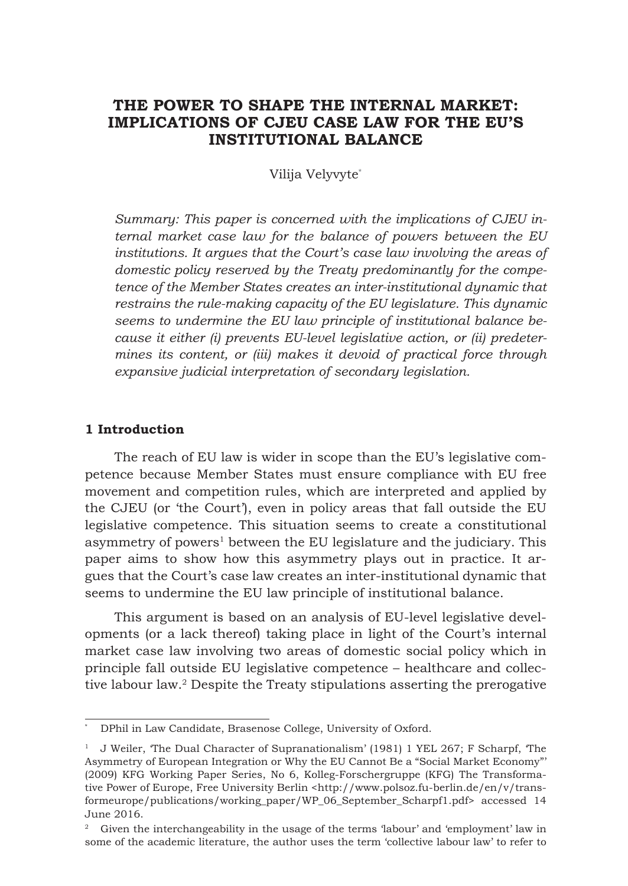# **THE POWER TO SHAPE THE INTERNAL MARKET: IMPLICATIONS OF CJEU CASE LAW FOR THE EU'S INSTITUTIONAL BALANCE**

Vilija Velyvyte\*

*Summary: This paper is concerned with the implications of CJEU internal market case law for the balance of powers between the EU institutions. It argues that the Court's case law involving the areas of domestic policy reserved by the Treaty predominantly for the competence of the Member States creates an inter-institutional dynamic that restrains the rule-making capacity of the EU legislature. This dynamic seems to undermine the EU law principle of institutional balance because it either (i) prevents EU-level legislative action, or (ii) predetermines its content, or (iii) makes it devoid of practical force through expansive judicial interpretation of secondary legislation.* 

#### **1 Introduction**

The reach of EU law is wider in scope than the EU's legislative competence because Member States must ensure compliance with EU free movement and competition rules, which are interpreted and applied by the CJEU (or 'the Court'), even in policy areas that fall outside the EU legislative competence. This situation seems to create a constitutional asymmetry of powers<sup>1</sup> between the EU legislature and the judiciary. This paper aims to show how this asymmetry plays out in practice. It argues that the Court's case law creates an inter-institutional dynamic that seems to undermine the EU law principle of institutional balance.

This argument is based on an analysis of EU-level legislative developments (or a lack thereof) taking place in light of the Court's internal market case law involving two areas of domestic social policy which in principle fall outside EU legislative competence – healthcare and collective labour law.2 Despite the Treaty stipulations asserting the prerogative

DPhil in Law Candidate, Brasenose College, University of Oxford.

<sup>&</sup>lt;sup>1</sup> J Weiler, The Dual Character of Supranationalism' (1981) 1 YEL 267; F Scharpf, The Asymmetry of European Integration or Why the EU Cannot Be a "Social Market Economy"' (2009) KFG Working Paper Series, No 6, Kolleg-Forschergruppe (KFG) The Transformative Power of Europe, Free University Berlin <http://www.polsoz.fu-berlin.de/en/v/transformeurope/publications/working\_paper/WP\_06\_September\_Scharpf1.pdf> accessed 14 June 2016.

<sup>&</sup>lt;sup>2</sup> Given the interchangeability in the usage of the terms 'labour' and 'employment' law in some of the academic literature, the author uses the term 'collective labour law' to refer to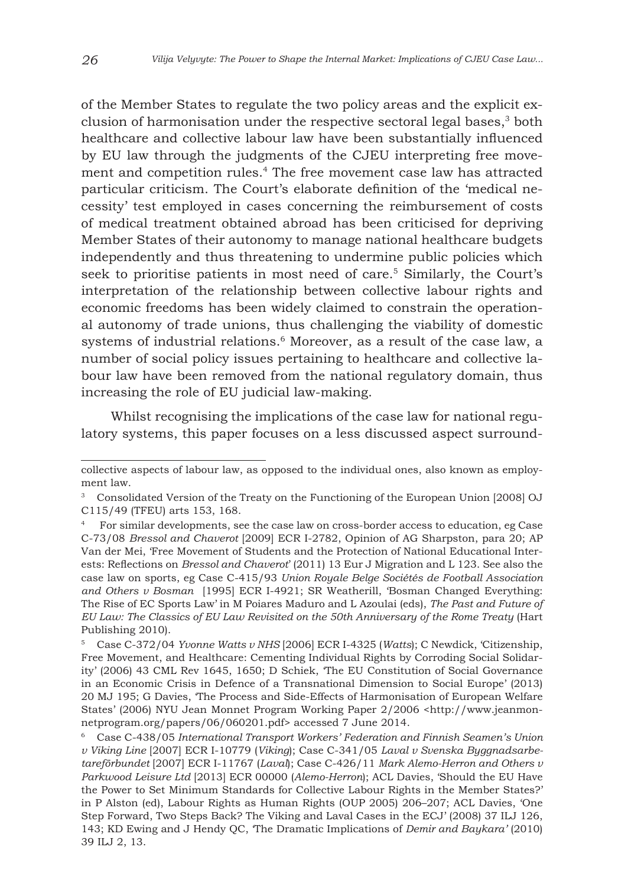of the Member States to regulate the two policy areas and the explicit exclusion of harmonisation under the respective sectoral legal bases,<sup>3</sup> both healthcare and collective labour law have been substantially influenced by EU law through the judgments of the CJEU interpreting free movement and competition rules.4 The free movement case law has attracted particular criticism. The Court's elaborate definition of the 'medical necessity' test employed in cases concerning the reimbursement of costs of medical treatment obtained abroad has been criticised for depriving Member States of their autonomy to manage national healthcare budgets independently and thus threatening to undermine public policies which seek to prioritise patients in most need of care.<sup>5</sup> Similarly, the Court's interpretation of the relationship between collective labour rights and economic freedoms has been widely claimed to constrain the operational autonomy of trade unions, thus challenging the viability of domestic systems of industrial relations.<sup>6</sup> Moreover, as a result of the case law, a number of social policy issues pertaining to healthcare and collective labour law have been removed from the national regulatory domain, thus increasing the role of EU judicial law-making.

Whilst recognising the implications of the case law for national regulatory systems, this paper focuses on a less discussed aspect surround-

collective aspects of labour law, as opposed to the individual ones, also known as employment law.

<sup>3</sup> Consolidated Version of the Treaty on the Functioning of the European Union [2008] OJ C115/49 (TFEU) arts 153, 168.

<sup>4</sup> For similar developments, see the case law on cross-border access to education, eg Case C-73/08 *Bressol and Chaverot* [2009] ECR I-2782, Opinion of AG Sharpston, para 20; AP Van der Mei, 'Free Movement of Students and the Protection of National Educational Interests: Reflections on *Bressol and Chaverot*' (2011) 13 Eur J Migration and L 123. See also the case law on sports, eg Case C-415/93 *Union Royale Belge Sociétés de Football Association and Others v Bosman* [1995] ECR I-4921; SR Weatherill, 'Bosman Changed Everything: The Rise of EC Sports Law' in M Poiares Maduro and L Azoulai (eds), *The Past and Future of EU Law: The Classics of EU Law Revisited on the 50th Anniversary of the Rome Treaty* (Hart Publishing 2010).

<sup>5</sup> Case C-372/04 *Yvonne Watts v NHS* [2006] ECR I-4325 (*Watts*); C Newdick, 'Citizenship, Free Movement, and Healthcare: Cementing Individual Rights by Corroding Social Solidarity' (2006) 43 CML Rev 1645, 1650; D Schiek, 'The EU Constitution of Social Governance in an Economic Crisis in Defence of a Transnational Dimension to Social Europe' (2013) 20 MJ 195; G Davies, 'The Process and Side-Effects of Harmonisation of European Welfare States' (2006) NYU Jean Monnet Program Working Paper 2/2006 <http://www.jeanmonnetprogram.org/papers/06/060201.pdf> accessed 7 June 2014.

<sup>6</sup> Case C-438/05 *International Transport Workers' Federation and Finnish Seamen's Union v Viking Line* [2007] ECR I-10779 (*Viking*); Case C-341/05 *Laval v Svenska Byggnadsarbetareförbundet* [2007] ECR I-11767 (*Laval*); Case C-426/11 *Mark Alemo-Herron and Others v Parkwood Leisure Ltd* [2013] ECR 00000 (*Alemo-Herron*); ACL Davies, 'Should the EU Have the Power to Set Minimum Standards for Collective Labour Rights in the Member States?' in P Alston (ed), Labour Rights as Human Rights (OUP 2005) 206–207; ACL Davies, 'One Step Forward, Two Steps Back? The Viking and Laval Cases in the ECJ' (2008) 37 ILJ 126, 143; KD Ewing and J Hendy QC, 'The Dramatic Implications of *Demir and Baykara'* (2010) 39 ILJ 2, 13.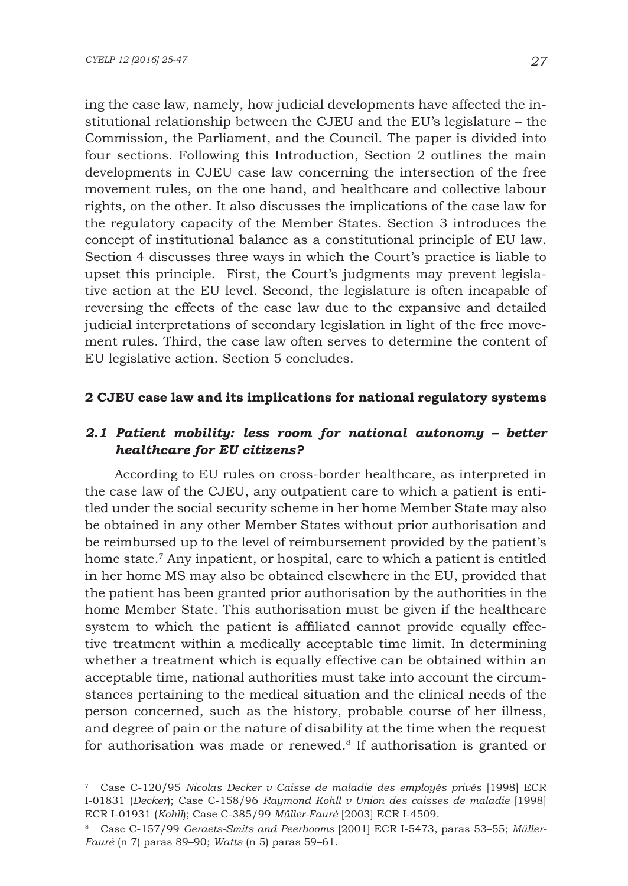ing the case law, namely, how judicial developments have affected the institutional relationship between the CJEU and the EU's legislature – the Commission, the Parliament, and the Council. The paper is divided into four sections. Following this Introduction, Section 2 outlines the main developments in CJEU case law concerning the intersection of the free movement rules, on the one hand, and healthcare and collective labour rights, on the other. It also discusses the implications of the case law for the regulatory capacity of the Member States. Section 3 introduces the concept of institutional balance as a constitutional principle of EU law. Section 4 discusses three ways in which the Court's practice is liable to upset this principle. First, the Court's judgments may prevent legislative action at the EU level. Second, the legislature is often incapable of reversing the effects of the case law due to the expansive and detailed judicial interpretations of secondary legislation in light of the free movement rules. Third, the case law often serves to determine the content of EU legislative action. Section 5 concludes.

### **2 CJEU case law and its implications for national regulatory systems**

## *2.1 Patient mobility: less room for national autonomy – better healthcare for EU citizens?*

According to EU rules on cross-border healthcare, as interpreted in the case law of the CJEU, any outpatient care to which a patient is entitled under the social security scheme in her home Member State may also be obtained in any other Member States without prior authorisation and be reimbursed up to the level of reimbursement provided by the patient's home state.<sup>7</sup> Any inpatient, or hospital, care to which a patient is entitled in her home MS may also be obtained elsewhere in the EU, provided that the patient has been granted prior authorisation by the authorities in the home Member State. This authorisation must be given if the healthcare system to which the patient is affiliated cannot provide equally effective treatment within a medically acceptable time limit. In determining whether a treatment which is equally effective can be obtained within an acceptable time, national authorities must take into account the circumstances pertaining to the medical situation and the clinical needs of the person concerned, such as the history, probable course of her illness, and degree of pain or the nature of disability at the time when the request for authorisation was made or renewed.<sup>8</sup> If authorisation is granted or

<sup>7</sup> Case C-120/95 *Nicolas Decker v Caisse de maladie des employés privés* [1998] ECR I-01831 (*Decker*); Case C-158/96 *Raymond Kohll v Union des caisses de maladie* [1998] ECR I-01931 (*Kohll*); Case C-385/99 *Müller-Fauré* [2003] ECR I-4509.

<sup>8</sup> Case C-157/99 *Geraets-Smits and Peerbooms* [2001] ECR I-5473, paras 53–55; *Müller-Fauré* (n 7) paras 89–90; *Watts* (n 5) paras 59–61.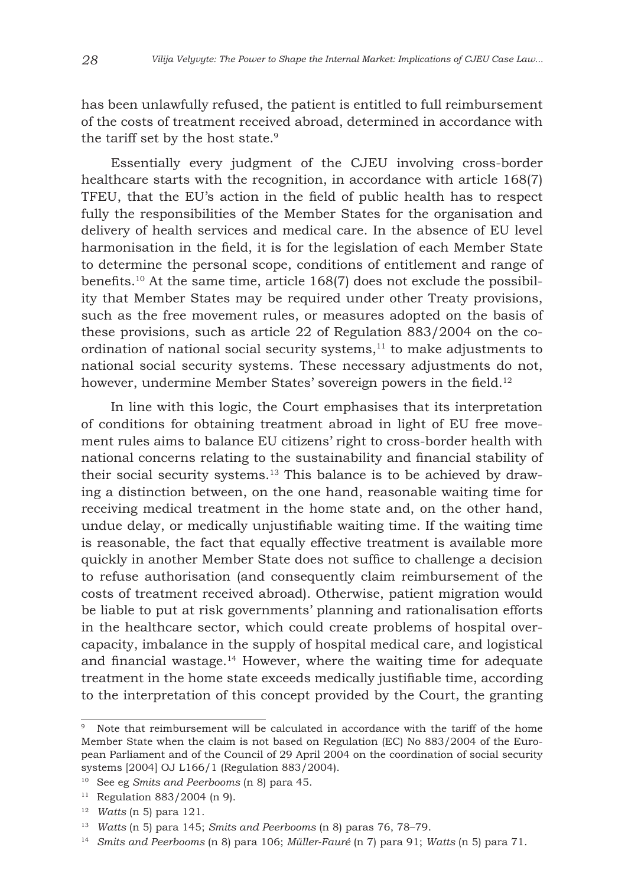has been unlawfully refused, the patient is entitled to full reimbursement of the costs of treatment received abroad, determined in accordance with the tariff set by the host state.<sup>9</sup>

Essentially every judgment of the CJEU involving cross-border healthcare starts with the recognition, in accordance with article 168(7) TFEU, that the EU's action in the field of public health has to respect fully the responsibilities of the Member States for the organisation and delivery of health services and medical care. In the absence of EU level harmonisation in the field, it is for the legislation of each Member State to determine the personal scope, conditions of entitlement and range of benefits.10 At the same time, article 168(7) does not exclude the possibility that Member States may be required under other Treaty provisions, such as the free movement rules, or measures adopted on the basis of these provisions, such as article 22 of Regulation 883/2004 on the coordination of national social security systems, $11$  to make adjustments to national social security systems. These necessary adjustments do not, however, undermine Member States' sovereign powers in the field.<sup>12</sup>

In line with this logic, the Court emphasises that its interpretation of conditions for obtaining treatment abroad in light of EU free movement rules aims to balance EU citizens' right to cross-border health with national concerns relating to the sustainability and financial stability of their social security systems.13 This balance is to be achieved by drawing a distinction between, on the one hand, reasonable waiting time for receiving medical treatment in the home state and, on the other hand, undue delay, or medically unjustifiable waiting time. If the waiting time is reasonable, the fact that equally effective treatment is available more quickly in another Member State does not suffice to challenge a decision to refuse authorisation (and consequently claim reimbursement of the costs of treatment received abroad). Otherwise, patient migration would be liable to put at risk governments' planning and rationalisation efforts in the healthcare sector, which could create problems of hospital overcapacity, imbalance in the supply of hospital medical care, and logistical and financial wastage.<sup>14</sup> However, where the waiting time for adequate treatment in the home state exceeds medically justifiable time, according to the interpretation of this concept provided by the Court, the granting

<sup>9</sup> Note that reimbursement will be calculated in accordance with the tariff of the home Member State when the claim is not based on Regulation (EC) No 883/2004 of the European Parliament and of the Council of 29 April 2004 on the coordination of social security systems [2004] OJ L166/1 (Regulation 883/2004).

<sup>10</sup> See eg *Smits and Peerbooms* (n 8) para 45.

 $11$  Regulation 883/2004 (n 9).

<sup>12</sup> *Watts* (n 5) para 121.

<sup>13</sup> *Watts* (n 5) para 145; *Smits and Peerbooms* (n 8) paras 76, 78–79.

<sup>14</sup> *Smits and Peerbooms* (n 8) para 106; *Müller-Fauré* (n 7) para 91; *Watts* (n 5) para 71.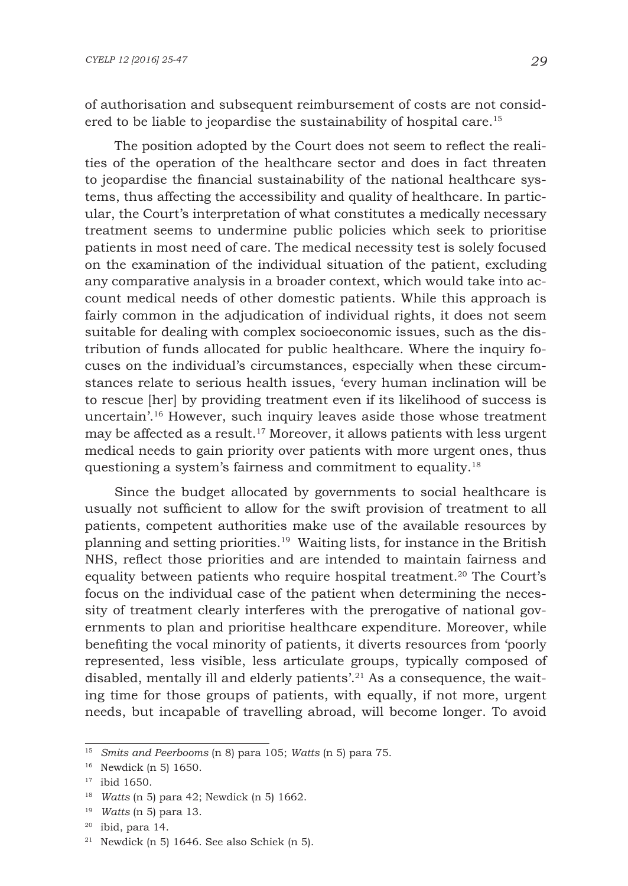of authorisation and subsequent reimbursement of costs are not considered to be liable to jeopardise the sustainability of hospital care.15

The position adopted by the Court does not seem to reflect the realities of the operation of the healthcare sector and does in fact threaten to jeopardise the financial sustainability of the national healthcare systems, thus affecting the accessibility and quality of healthcare. In particular, the Court's interpretation of what constitutes a medically necessary treatment seems to undermine public policies which seek to prioritise patients in most need of care. The medical necessity test is solely focused on the examination of the individual situation of the patient, excluding any comparative analysis in a broader context, which would take into account medical needs of other domestic patients. While this approach is fairly common in the adjudication of individual rights, it does not seem suitable for dealing with complex socioeconomic issues, such as the distribution of funds allocated for public healthcare. Where the inquiry focuses on the individual's circumstances, especially when these circumstances relate to serious health issues, 'every human inclination will be to rescue [her] by providing treatment even if its likelihood of success is uncertain'.16 However, such inquiry leaves aside those whose treatment may be affected as a result.17 Moreover, it allows patients with less urgent medical needs to gain priority over patients with more urgent ones, thus questioning a system's fairness and commitment to equality.18

Since the budget allocated by governments to social healthcare is usually not sufficient to allow for the swift provision of treatment to all patients, competent authorities make use of the available resources by planning and setting priorities.19 Waiting lists, for instance in the British NHS, reflect those priorities and are intended to maintain fairness and equality between patients who require hospital treatment.20 The Court's focus on the individual case of the patient when determining the necessity of treatment clearly interferes with the prerogative of national governments to plan and prioritise healthcare expenditure. Moreover, while benefiting the vocal minority of patients, it diverts resources from 'poorly represented, less visible, less articulate groups, typically composed of disabled, mentally ill and elderly patients'.<sup>21</sup> As a consequence, the waiting time for those groups of patients, with equally, if not more, urgent needs, but incapable of travelling abroad, will become longer. To avoid

<sup>15</sup> *Smits and Peerbooms* (n 8) para 105; *Watts* (n 5) para 75.

<sup>16</sup> Newdick (n 5) 1650.

<sup>17</sup> ibid 1650.

<sup>18</sup> *Watts* (n 5) para 42; Newdick (n 5) 1662.

<sup>19</sup> *Watts* (n 5) para 13.

 $20$  ibid, para 14.

<sup>&</sup>lt;sup>21</sup> Newdick (n 5) 1646. See also Schiek (n 5).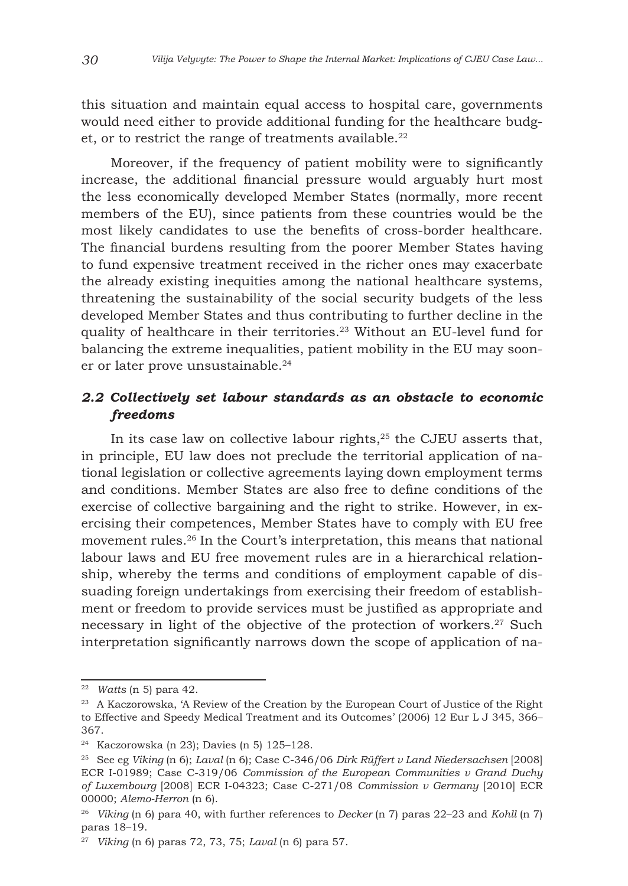this situation and maintain equal access to hospital care, governments would need either to provide additional funding for the healthcare budget, or to restrict the range of treatments available. $^{22}$ 

Moreover, if the frequency of patient mobility were to significantly increase, the additional financial pressure would arguably hurt most the less economically developed Member States (normally, more recent members of the EU), since patients from these countries would be the most likely candidates to use the benefits of cross-border healthcare. The financial burdens resulting from the poorer Member States having to fund expensive treatment received in the richer ones may exacerbate the already existing inequities among the national healthcare systems, threatening the sustainability of the social security budgets of the less developed Member States and thus contributing to further decline in the quality of healthcare in their territories.23 Without an EU-level fund for balancing the extreme inequalities, patient mobility in the EU may sooner or later prove unsustainable.<sup>24</sup>

# *2.2 Collectively set labour standards as an obstacle to economic freedoms*

In its case law on collective labour rights,<sup>25</sup> the CJEU asserts that, in principle, EU law does not preclude the territorial application of national legislation or collective agreements laying down employment terms and conditions. Member States are also free to define conditions of the exercise of collective bargaining and the right to strike. However, in exercising their competences, Member States have to comply with EU free movement rules.26 In the Court's interpretation, this means that national labour laws and EU free movement rules are in a hierarchical relationship, whereby the terms and conditions of employment capable of dissuading foreign undertakings from exercising their freedom of establishment or freedom to provide services must be justified as appropriate and necessary in light of the objective of the protection of workers.<sup>27</sup> Such interpretation significantly narrows down the scope of application of na-

<sup>22</sup> *Watts* (n 5) para 42.

<sup>&</sup>lt;sup>23</sup> A Kaczorowska, 'A Review of the Creation by the European Court of Justice of the Right to Effective and Speedy Medical Treatment and its Outcomes' (2006) 12 Eur L J 345, 366– 367.

<sup>24</sup> Kaczorowska (n 23); Davies (n 5) 125–128.

<sup>25</sup> See eg *Viking* (n 6); *Laval* (n 6); Case C-346/06 *Dirk Rüffert v Land Niedersachsen* [2008] ECR I-01989; Case C-319/06 *Commission of the European Communities v Grand Duchy of Luxembourg* [2008] ECR I-04323; Case C-271/08 *Commission v Germany* [2010] ECR 00000; *Alemo-Herron* (n 6).

<sup>26</sup> *Viking* (n 6) para 40, with further references to *Decker* (n 7) paras 22–23 and *Kohll* (n 7) paras 18–19.

<sup>27</sup> *Viking* (n 6) paras 72, 73, 75; *Laval* (n 6) para 57.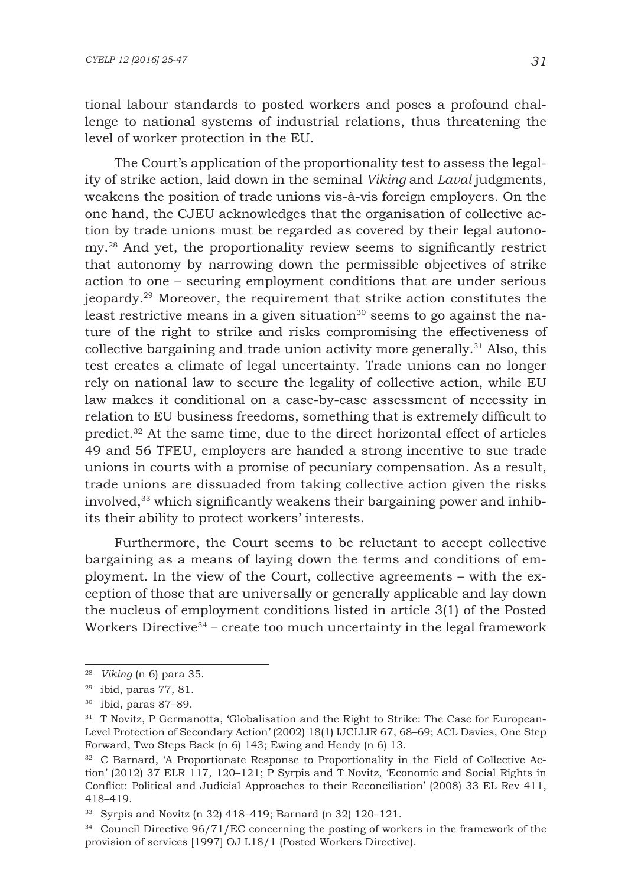tional labour standards to posted workers and poses a profound challenge to national systems of industrial relations, thus threatening the level of worker protection in the EU.

The Court's application of the proportionality test to assess the legality of strike action, laid down in the seminal *Viking* and *Laval* judgments, weakens the position of trade unions vis-à-vis foreign employers. On the one hand, the CJEU acknowledges that the organisation of collective action by trade unions must be regarded as covered by their legal autonomy.28 And yet, the proportionality review seems to significantly restrict that autonomy by narrowing down the permissible objectives of strike action to one – securing employment conditions that are under serious jeopardy.29 Moreover, the requirement that strike action constitutes the least restrictive means in a given situation<sup>30</sup> seems to go against the nature of the right to strike and risks compromising the effectiveness of collective bargaining and trade union activity more generally.<sup>31</sup> Also, this test creates a climate of legal uncertainty. Trade unions can no longer rely on national law to secure the legality of collective action, while EU law makes it conditional on a case-by-case assessment of necessity in relation to EU business freedoms, something that is extremely difficult to predict.32 At the same time, due to the direct horizontal effect of articles 49 and 56 TFEU, employers are handed a strong incentive to sue trade unions in courts with a promise of pecuniary compensation. As a result, trade unions are dissuaded from taking collective action given the risks involved, $33$  which significantly weakens their bargaining power and inhibits their ability to protect workers' interests.

Furthermore, the Court seems to be reluctant to accept collective bargaining as a means of laying down the terms and conditions of employment. In the view of the Court, collective agreements – with the exception of those that are universally or generally applicable and lay down the nucleus of employment conditions listed in article 3(1) of the Posted Workers Directive<sup>34</sup> – create too much uncertainty in the legal framework

<sup>28</sup> *Viking* (n 6) para 35.

<sup>29</sup> ibid, paras 77, 81.

<sup>30</sup> ibid, paras 87–89.

<sup>&</sup>lt;sup>31</sup> T Novitz, P Germanotta, 'Globalisation and the Right to Strike: The Case for European-Level Protection of Secondary Action' (2002) 18(1) IJCLLIR 67, 68–69; ACL Davies, One Step Forward, Two Steps Back (n 6) 143; Ewing and Hendy (n 6) 13.

<sup>&</sup>lt;sup>32</sup> C Barnard, 'A Proportionate Response to Proportionality in the Field of Collective Action' (2012) 37 ELR 117, 120–121; P Syrpis and T Novitz, 'Economic and Social Rights in Conflict: Political and Judicial Approaches to their Reconciliation' (2008) 33 EL Rev 411, 418–419.

<sup>33</sup> Syrpis and Novitz (n 32) 418–419; Barnard (n 32) 120–121.

<sup>&</sup>lt;sup>34</sup> Council Directive 96/71/EC concerning the posting of workers in the framework of the provision of services [1997] OJ L18/1 (Posted Workers Directive).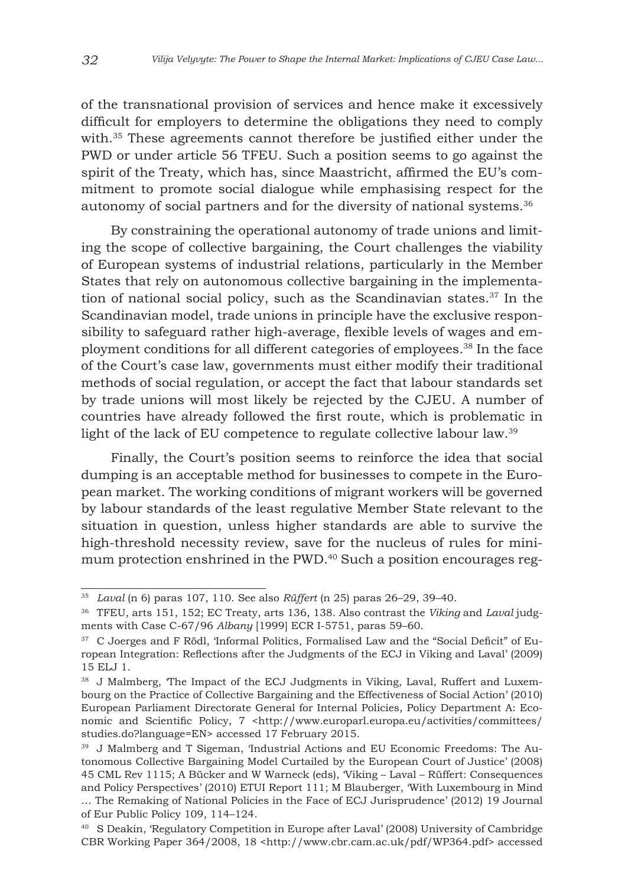of the transnational provision of services and hence make it excessively difficult for employers to determine the obligations they need to comply with.<sup>35</sup> These agreements cannot therefore be justified either under the PWD or under article 56 TFEU. Such a position seems to go against the spirit of the Treaty, which has, since Maastricht, affirmed the EU's commitment to promote social dialogue while emphasising respect for the autonomy of social partners and for the diversity of national systems.36

By constraining the operational autonomy of trade unions and limiting the scope of collective bargaining, the Court challenges the viability of European systems of industrial relations, particularly in the Member States that rely on autonomous collective bargaining in the implementation of national social policy, such as the Scandinavian states.37 In the Scandinavian model, trade unions in principle have the exclusive responsibility to safeguard rather high-average, flexible levels of wages and employment conditions for all different categories of employees.38 In the face of the Court's case law, governments must either modify their traditional methods of social regulation, or accept the fact that labour standards set by trade unions will most likely be rejected by the CJEU. A number of countries have already followed the first route, which is problematic in light of the lack of EU competence to regulate collective labour law.39

Finally, the Court's position seems to reinforce the idea that social dumping is an acceptable method for businesses to compete in the European market. The working conditions of migrant workers will be governed by labour standards of the least regulative Member State relevant to the situation in question, unless higher standards are able to survive the high-threshold necessity review, save for the nucleus of rules for minimum protection enshrined in the PWD.<sup>40</sup> Such a position encourages reg-

<sup>35</sup> *Laval* (n 6) paras 107, 110. See also *Rüffert* (n 25) paras 26–29, 39–40.

<sup>36</sup> TFEU, arts 151, 152; EC Treaty, arts 136, 138. Also contrast the *Viking* and *Laval* judgments with Case C-67/96 *Albany* [1999] ECR I-5751, paras 59–60.

<sup>&</sup>lt;sup>37</sup> C Joerges and F Rödl, 'Informal Politics, Formalised Law and the "Social Deficit" of European Integration: Reflections after the Judgments of the ECJ in Viking and Laval' (2009) 15 ELJ 1.

<sup>&</sup>lt;sup>38</sup> J Malmberg, 'The Impact of the ECJ Judgments in Viking, Laval, Ruffert and Luxembourg on the Practice of Collective Bargaining and the Effectiveness of Social Action' (2010) European Parliament Directorate General for Internal Policies, Policy Department A: Economic and Scientific Policy, 7 <http://www.europarl.europa.eu/activities/committees/ studies.do?language=EN> accessed 17 February 2015.

<sup>39</sup> J Malmberg and T Sigeman, 'Industrial Actions and EU Economic Freedoms: The Autonomous Collective Bargaining Model Curtailed by the European Court of Justice' (2008) 45 CML Rev 1115; A Bücker and W Warneck (eds), 'Viking – Laval – Rüffert: Consequences and Policy Perspectives' (2010) ETUI Report 111; M Blauberger, 'With Luxembourg in Mind

<sup>…</sup> The Remaking of National Policies in the Face of ECJ Jurisprudence' (2012) 19 Journal of Eur Public Policy 109, 114–124.

<sup>40</sup> S Deakin, 'Regulatory Competition in Europe after Laval' (2008) University of Cambridge CBR Working Paper 364/2008, 18 <http://www.cbr.cam.ac.uk/pdf/WP364.pdf> accessed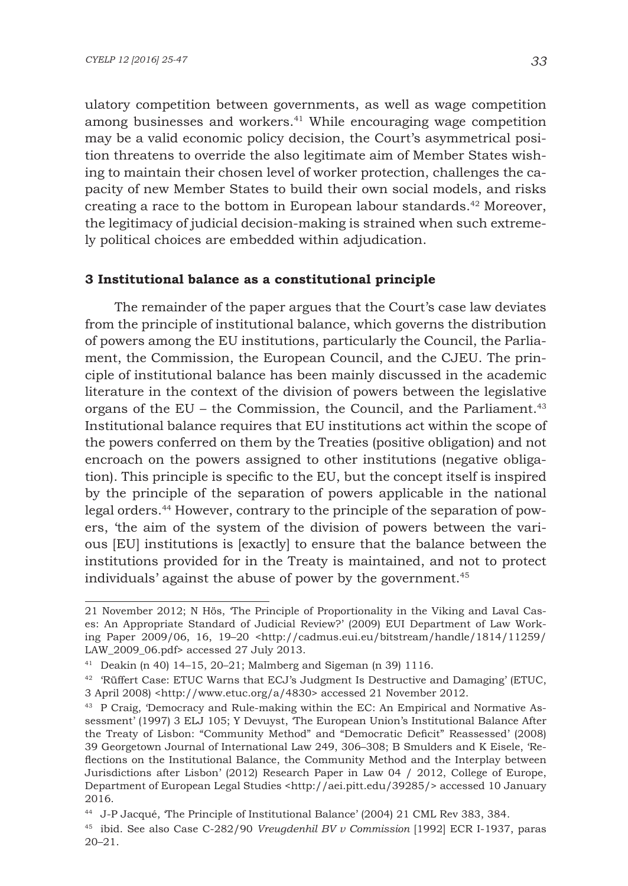ulatory competition between governments, as well as wage competition among businesses and workers.41 While encouraging wage competition may be a valid economic policy decision, the Court's asymmetrical position threatens to override the also legitimate aim of Member States wishing to maintain their chosen level of worker protection, challenges the capacity of new Member States to build their own social models, and risks creating a race to the bottom in European labour standards.42 Moreover, the legitimacy of judicial decision-making is strained when such extremely political choices are embedded within adjudication.

### **3 Institutional balance as a constitutional principle**

The remainder of the paper argues that the Court's case law deviates from the principle of institutional balance, which governs the distribution of powers among the EU institutions, particularly the Council, the Parliament, the Commission, the European Council, and the CJEU. The principle of institutional balance has been mainly discussed in the academic literature in the context of the division of powers between the legislative organs of the EU – the Commission, the Council, and the Parliament.<sup>43</sup> Institutional balance requires that EU institutions act within the scope of the powers conferred on them by the Treaties (positive obligation) and not encroach on the powers assigned to other institutions (negative obligation). This principle is specific to the EU, but the concept itself is inspired by the principle of the separation of powers applicable in the national legal orders.44 However, contrary to the principle of the separation of powers, 'the aim of the system of the division of powers between the various [EU] institutions is [exactly] to ensure that the balance between the institutions provided for in the Treaty is maintained, and not to protect individuals' against the abuse of power by the government.45

<sup>21</sup> November 2012; N Hös, 'The Principle of Proportionality in the Viking and Laval Cases: An Appropriate Standard of Judicial Review?' (2009) EUI Department of Law Working Paper 2009/06, 16, 19–20 <http://cadmus.eui.eu/bitstream/handle/1814/11259/ LAW\_2009\_06.pdf> accessed 27 July 2013.

<sup>41</sup> Deakin (n 40) 14–15, 20–21; Malmberg and Sigeman (n 39) 1116.

<sup>42</sup> 'Rüffert Case: ETUC Warns that ECJ's Judgment Is Destructive and Damaging' (ETUC, 3 April 2008) <http://www.etuc.org/a/4830> accessed 21 November 2012.

<sup>43</sup> P Craig, 'Democracy and Rule-making within the EC: An Empirical and Normative Assessment' (1997) 3 ELJ 105; Y Devuyst, 'The European Union's Institutional Balance After the Treaty of Lisbon: "Community Method" and "Democratic Deficit" Reassessed' (2008) 39 Georgetown Journal of International Law 249, 306–308; B Smulders and K Eisele, 'Reflections on the Institutional Balance, the Community Method and the Interplay between Jurisdictions after Lisbon' (2012) Research Paper in Law 04 / 2012, College of Europe, Department of European Legal Studies <http://aei.pitt.edu/39285/> accessed 10 January 2016.

<sup>44</sup> J-P Jacqué, 'The Principle of Institutional Balance' (2004) 21 CML Rev 383, 384.

<sup>45</sup> ibid. See also Case C-282/90 *Vreugdenhil BV v Commission* [1992] ECR I-1937, paras 20–21.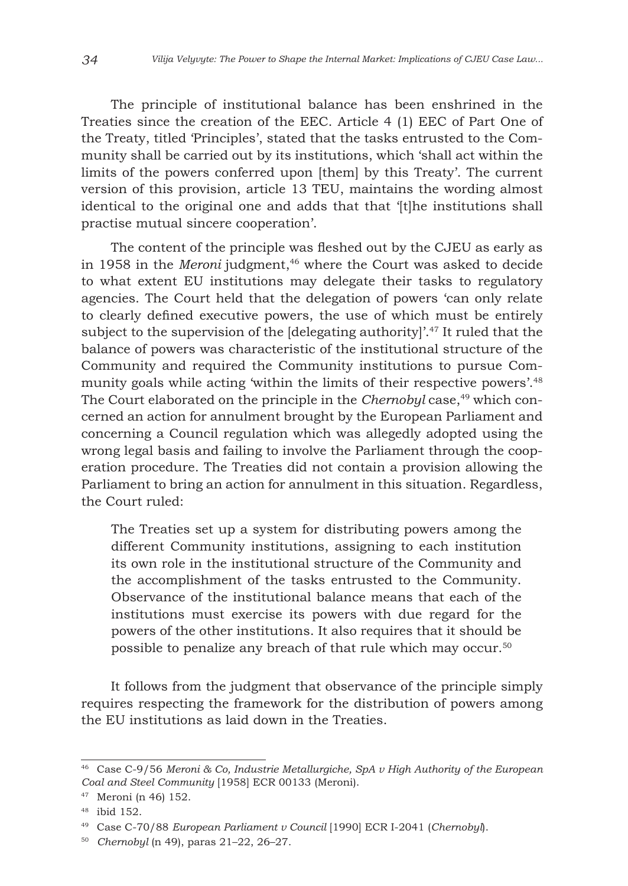The principle of institutional balance has been enshrined in the Treaties since the creation of the EEC. Article 4 (1) EEC of Part One of the Treaty, titled 'Principles', stated that the tasks entrusted to the Community shall be carried out by its institutions, which 'shall act within the limits of the powers conferred upon [them] by this Treaty'. The current version of this provision, article 13 TEU, maintains the wording almost identical to the original one and adds that that '[t]he institutions shall practise mutual sincere cooperation'.

The content of the principle was fleshed out by the CJEU as early as in 1958 in the *Meroni* judgment,46 where the Court was asked to decide to what extent EU institutions may delegate their tasks to regulatory agencies. The Court held that the delegation of powers 'can only relate to clearly defined executive powers, the use of which must be entirely subject to the supervision of the [delegating authority]'.<sup>47</sup> It ruled that the balance of powers was characteristic of the institutional structure of the Community and required the Community institutions to pursue Community goals while acting 'within the limits of their respective powers'.48 The Court elaborated on the principle in the *Chernobyl* case,<sup>49</sup> which concerned an action for annulment brought by the European Parliament and concerning a Council regulation which was allegedly adopted using the wrong legal basis and failing to involve the Parliament through the cooperation procedure. The Treaties did not contain a provision allowing the Parliament to bring an action for annulment in this situation. Regardless, the Court ruled:

The Treaties set up a system for distributing powers among the different Community institutions, assigning to each institution its own role in the institutional structure of the Community and the accomplishment of the tasks entrusted to the Community. Observance of the institutional balance means that each of the institutions must exercise its powers with due regard for the powers of the other institutions. It also requires that it should be possible to penalize any breach of that rule which may occur.50

It follows from the judgment that observance of the principle simply requires respecting the framework for the distribution of powers among the EU institutions as laid down in the Treaties.

<sup>46</sup> Case C-9/56 *Meroni & Co, Industrie Metallurgiche, SpA v High Authority of the European Coal and Steel Community* [1958] ECR 00133 (Meroni).

<sup>47</sup> Meroni (n 46) 152.

<sup>48</sup> ibid 152.

<sup>49</sup> Case C-70/88 *European Parliament v Council* [1990] ECR I-2041 (*Chernobyl*).

<sup>50</sup> *Chernobyl* (n 49), paras 21–22, 26–27.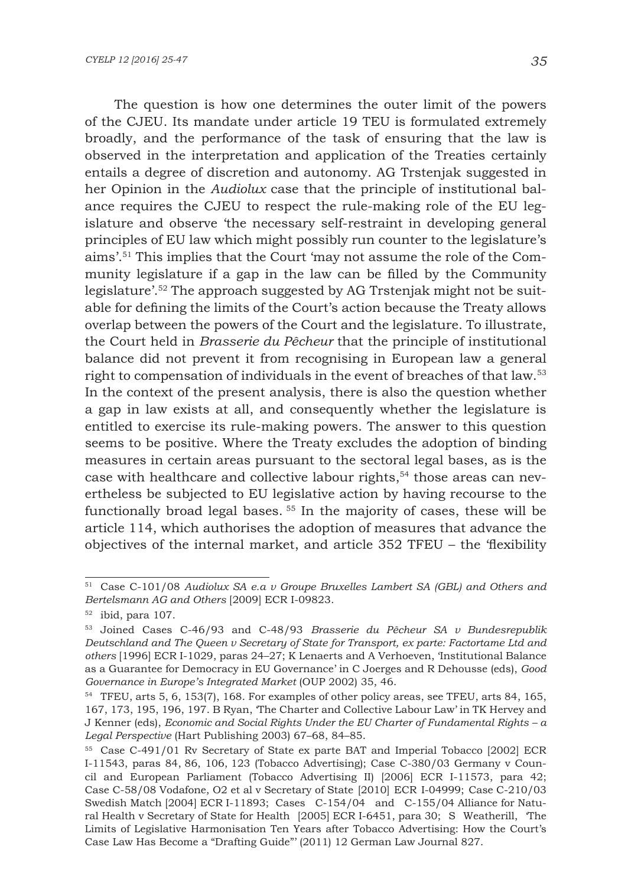The question is how one determines the outer limit of the powers of the CJEU. Its mandate under article 19 TEU is formulated extremely broadly, and the performance of the task of ensuring that the law is observed in the interpretation and application of the Treaties certainly entails a degree of discretion and autonomy. AG Trstenjak suggested in her Opinion in the *Audiolux* case that the principle of institutional balance requires the CJEU to respect the rule-making role of the EU legislature and observe 'the necessary self-restraint in developing general principles of EU law which might possibly run counter to the legislature's aims'.51 This implies that the Court 'may not assume the role of the Community legislature if a gap in the law can be filled by the Community legislature'.52 The approach suggested by AG Trstenjak might not be suitable for defining the limits of the Court's action because the Treaty allows overlap between the powers of the Court and the legislature. To illustrate, the Court held in *Brasserie du Pêcheur* that the principle of institutional balance did not prevent it from recognising in European law a general right to compensation of individuals in the event of breaches of that law.53 In the context of the present analysis, there is also the question whether a gap in law exists at all, and consequently whether the legislature is entitled to exercise its rule-making powers. The answer to this question seems to be positive. Where the Treaty excludes the adoption of binding measures in certain areas pursuant to the sectoral legal bases, as is the case with healthcare and collective labour rights,54 those areas can nevertheless be subjected to EU legislative action by having recourse to the functionally broad legal bases. 55 In the majority of cases, these will be article 114, which authorises the adoption of measures that advance the objectives of the internal market, and article 352 TFEU – the 'flexibility

<sup>51</sup> Case C-101/08 *Audiolux SA e.a v Groupe Bruxelles Lambert SA (GBL) and Others and Bertelsmann AG and Others* [2009] ECR I-09823.

 $52$  ibid, para 107.

<sup>53</sup> Joined Cases C-46/93 and C-48/93 *Brasserie du Pêcheur SA v Bundesrepublik Deutschland and The Queen v Secretary of State for Transport, ex parte: Factortame Ltd and others* [1996] ECR I-1029, paras 24–27; K Lenaerts and A Verhoeven, 'Institutional Balance as a Guarantee for Democracy in EU Governance' in C Joerges and R Dehousse (eds), *Good Governance in Europe's Integrated Market* (OUP 2002) 35, 46.

<sup>54</sup> TFEU, arts 5, 6, 153(7), 168. For examples of other policy areas, see TFEU, arts 84, 165, 167, 173, 195, 196, 197. B Ryan, 'The Charter and Collective Labour Law' in TK Hervey and J Kenner (eds), *Economic and Social Rights Under the EU Charter of Fundamental Rights – a Legal Perspective* (Hart Publishing 2003) 67–68, 84–85.

<sup>55</sup> Case C-491/01 Rv Secretary of State ex parte BAT and Imperial Tobacco [2002] ECR I-11543, paras 84, 86, 106, 123 (Tobacco Advertising); Case C-380/03 Germany v Council and European Parliament (Tobacco Advertising II) [2006] ECR I-11573, para 42; Case C-58/08 Vodafone, O2 et al v Secretary of State [2010] ECR I-04999; Case C-210/03 Swedish Match [2004] ECR I-11893; Cases C-154/04 and C-155/04 Alliance for Natural Health v Secretary of State for Health [2005] ECR I-6451, para 30; S Weatherill, 'The Limits of Legislative Harmonisation Ten Years after Tobacco Advertising: How the Court's Case Law Has Become a "Drafting Guide"' (2011) 12 German Law Journal 827.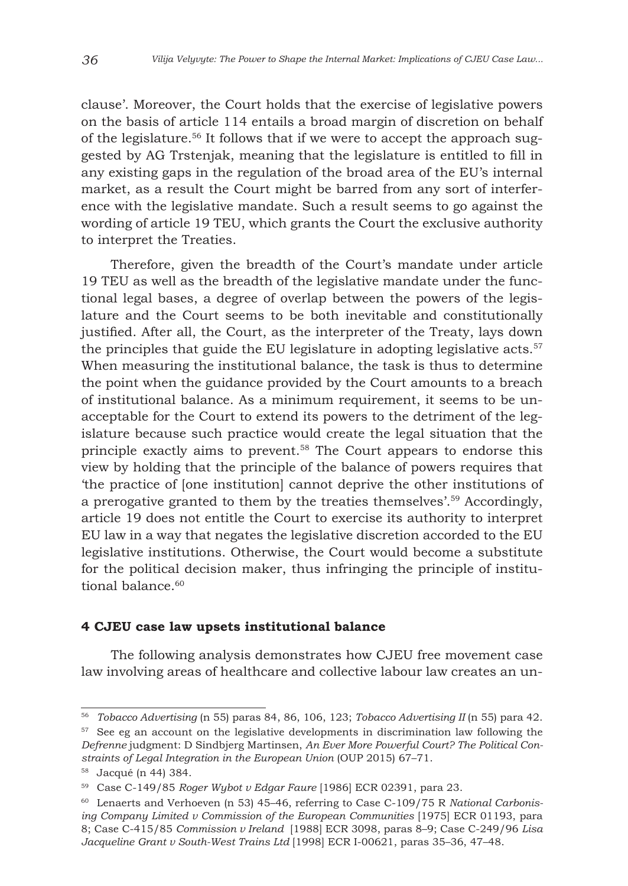clause'. Moreover, the Court holds that the exercise of legislative powers on the basis of article 114 entails a broad margin of discretion on behalf of the legislature.<sup>56</sup> It follows that if we were to accept the approach suggested by AG Trstenjak, meaning that the legislature is entitled to fill in any existing gaps in the regulation of the broad area of the EU's internal market, as a result the Court might be barred from any sort of interference with the legislative mandate. Such a result seems to go against the wording of article 19 TEU, which grants the Court the exclusive authority to interpret the Treaties.

Therefore, given the breadth of the Court's mandate under article 19 TEU as well as the breadth of the legislative mandate under the functional legal bases, a degree of overlap between the powers of the legislature and the Court seems to be both inevitable and constitutionally justified. After all, the Court, as the interpreter of the Treaty, lays down the principles that guide the EU legislature in adopting legislative acts.<sup>57</sup> When measuring the institutional balance, the task is thus to determine the point when the guidance provided by the Court amounts to a breach of institutional balance. As a minimum requirement, it seems to be unacceptable for the Court to extend its powers to the detriment of the legislature because such practice would create the legal situation that the principle exactly aims to prevent.58 The Court appears to endorse this view by holding that the principle of the balance of powers requires that 'the practice of [one institution] cannot deprive the other institutions of a prerogative granted to them by the treaties themselves'.<sup>59</sup> Accordingly, article 19 does not entitle the Court to exercise its authority to interpret EU law in a way that negates the legislative discretion accorded to the EU legislative institutions. Otherwise, the Court would become a substitute for the political decision maker, thus infringing the principle of institutional balance  $60$ 

#### **4 CJEU case law upsets institutional balance**

The following analysis demonstrates how CJEU free movement case law involving areas of healthcare and collective labour law creates an un-

<sup>56</sup> *Tobacco Advertising* (n 55) paras 84, 86, 106, 123; *Tobacco Advertising II* (n 55) para 42.

<sup>&</sup>lt;sup>57</sup> See eg an account on the legislative developments in discrimination law following the *Defrenne* judgment: D Sindbjerg Martinsen, *An Ever More Powerful Court? The Political Constraints of Legal Integration in the European Union* (OUP 2015) 67–71.

<sup>58</sup> Jacqué (n 44) 384.

<sup>59</sup> Case C-149/85 *Roger Wybot v Edgar Faure* [1986] ECR 02391, para 23.

<sup>60</sup> Lenaerts and Verhoeven (n 53) 45–46, referring to Case C-109/75 R *National Carbonising Company Limited v Commission of the European Communities* [1975] ECR 01193, para 8; Case C-415/85 *Commission v Ireland* [1988] ECR 3098, paras 8–9; Case C-249/96 *Lisa Jacqueline Grant v South-West Trains Ltd* [1998] ECR I-00621, paras 35–36, 47–48.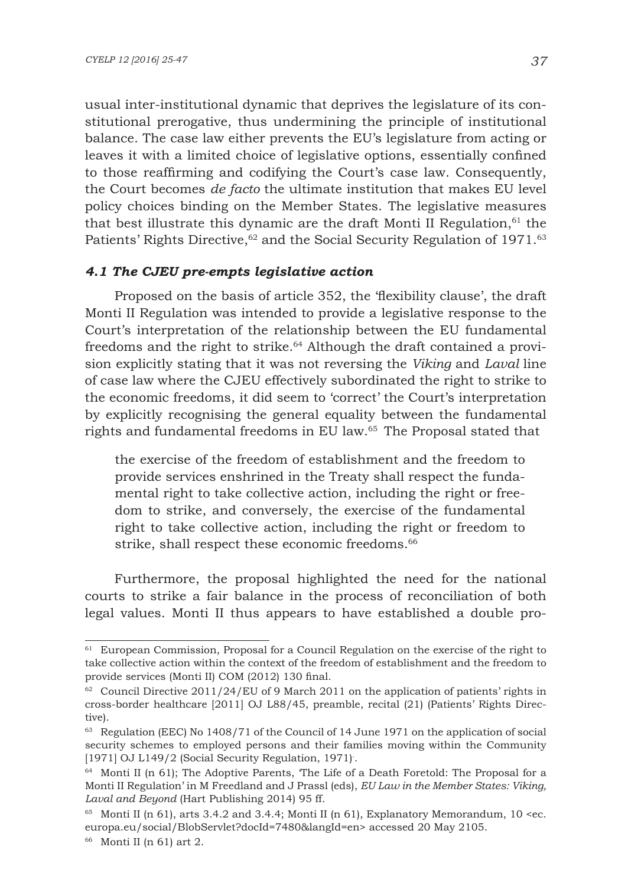usual inter-institutional dynamic that deprives the legislature of its constitutional prerogative, thus undermining the principle of institutional balance. The case law either prevents the EU's legislature from acting or leaves it with a limited choice of legislative options, essentially confined to those reaffirming and codifying the Court's case law. Consequently, the Court becomes *de facto* the ultimate institution that makes EU level policy choices binding on the Member States. The legislative measures that best illustrate this dynamic are the draft Monti II Regulation, $61$  the Patients' Rights Directive,<sup>62</sup> and the Social Security Regulation of 1971.<sup>63</sup>

#### *4.1 The CJEU pre-empts legislative action*

Proposed on the basis of article 352, the 'flexibility clause', the draft Monti II Regulation was intended to provide a legislative response to the Court's interpretation of the relationship between the EU fundamental freedoms and the right to strike. $64$  Although the draft contained a provision explicitly stating that it was not reversing the *Viking* and *Laval* line of case law where the CJEU effectively subordinated the right to strike to the economic freedoms, it did seem to 'correct' the Court's interpretation by explicitly recognising the general equality between the fundamental rights and fundamental freedoms in EU law.65 The Proposal stated that

the exercise of the freedom of establishment and the freedom to provide services enshrined in the Treaty shall respect the fundamental right to take collective action, including the right or freedom to strike, and conversely, the exercise of the fundamental right to take collective action, including the right or freedom to strike, shall respect these economic freedoms.<sup>66</sup>

Furthermore, the proposal highlighted the need for the national courts to strike a fair balance in the process of reconciliation of both legal values. Monti II thus appears to have established a double pro-

<sup>&</sup>lt;sup>61</sup> European Commission, Proposal for a Council Regulation on the exercise of the right to take collective action within the context of the freedom of establishment and the freedom to provide services (Monti II) COM (2012) 130 final.

<sup>62</sup> Council Directive 2011/24/EU of 9 March 2011 on the application of patients' rights in cross-border healthcare [2011] OJ L88/45, preamble, recital (21) (Patients' Rights Directive).

<sup>63</sup> Regulation (EEC) No 1408/71 of the Council of 14 June 1971 on the application of social security schemes to employed persons and their families moving within the Community [1971] OJ L149/2 (Social Security Regulation, 1971).

 $64$  Monti II (n 61); The Adoptive Parents, The Life of a Death Foretold: The Proposal for a Monti II Regulation' in M Freedland and J Prassl (eds), *EU Law in the Member States: Viking, Laval and Beyond* (Hart Publishing 2014) 95 ff.

<sup>&</sup>lt;sup>65</sup> Monti II (n 61), arts 3.4.2 and 3.4.4; Monti II (n 61), Explanatory Memorandum, 10 <ec. europa.eu/social/BlobServlet?docId=7480&langId=en> accessed 20 May 2105.

<sup>66</sup> Monti II (n 61) art 2.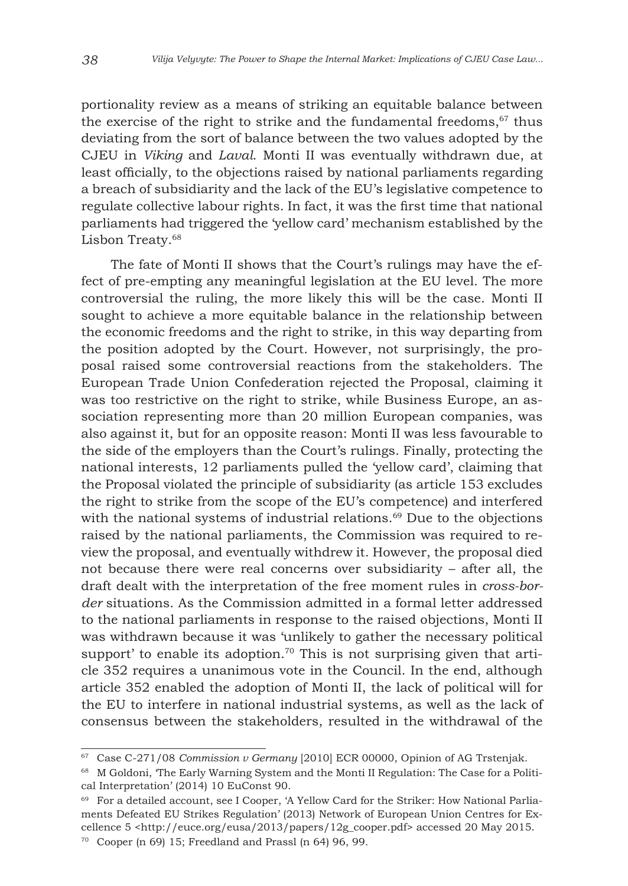portionality review as a means of striking an equitable balance between the exercise of the right to strike and the fundamental freedoms,  $67$  thus deviating from the sort of balance between the two values adopted by the CJEU in *Viking* and *Laval*. Monti II was eventually withdrawn due, at least officially, to the objections raised by national parliaments regarding a breach of subsidiarity and the lack of the EU's legislative competence to regulate collective labour rights. In fact, it was the first time that national parliaments had triggered the 'yellow card' mechanism established by the Lisbon Treaty.<sup>68</sup>

The fate of Monti II shows that the Court's rulings may have the effect of pre-empting any meaningful legislation at the EU level. The more controversial the ruling, the more likely this will be the case. Monti II sought to achieve a more equitable balance in the relationship between the economic freedoms and the right to strike, in this way departing from the position adopted by the Court. However, not surprisingly, the proposal raised some controversial reactions from the stakeholders. The European Trade Union Confederation rejected the Proposal, claiming it was too restrictive on the right to strike, while Business Europe, an association representing more than 20 million European companies, was also against it, but for an opposite reason: Monti II was less favourable to the side of the employers than the Court's rulings. Finally, protecting the national interests, 12 parliaments pulled the 'yellow card', claiming that the Proposal violated the principle of subsidiarity (as article 153 excludes the right to strike from the scope of the EU's competence) and interfered with the national systems of industrial relations.<sup>69</sup> Due to the objections raised by the national parliaments, the Commission was required to review the proposal, and eventually withdrew it. However, the proposal died not because there were real concerns over subsidiarity – after all, the draft dealt with the interpretation of the free moment rules in *cross-border* situations. As the Commission admitted in a formal letter addressed to the national parliaments in response to the raised objections, Monti II was withdrawn because it was 'unlikely to gather the necessary political support' to enable its adoption.<sup>70</sup> This is not surprising given that article 352 requires a unanimous vote in the Council. In the end, although article 352 enabled the adoption of Monti II, the lack of political will for the EU to interfere in national industrial systems, as well as the lack of consensus between the stakeholders, resulted in the withdrawal of the

<sup>67</sup> Case C-271/08 *Commission v Germany* [2010] ECR 00000, Opinion of AG Trstenjak.

<sup>&</sup>lt;sup>68</sup> M Goldoni, 'The Early Warning System and the Monti II Regulation: The Case for a Political Interpretation' (2014) 10 EuConst 90.

<sup>69</sup> For a detailed account, see I Cooper, 'A Yellow Card for the Striker: How National Parliaments Defeated EU Strikes Regulation' (2013) Network of European Union Centres for Excellence 5 <http://euce.org/eusa/2013/papers/12g\_cooper.pdf> accessed 20 May 2015.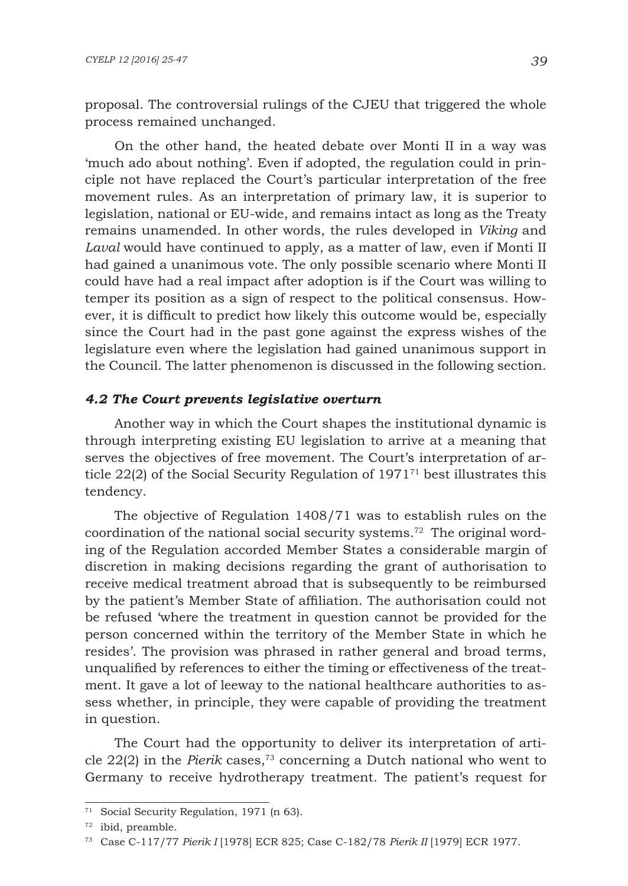proposal. The controversial rulings of the CJEU that triggered the whole process remained unchanged.

On the other hand, the heated debate over Monti II in a way was 'much ado about nothing'. Even if adopted, the regulation could in principle not have replaced the Court's particular interpretation of the free movement rules. As an interpretation of primary law, it is superior to legislation, national or EU-wide, and remains intact as long as the Treaty remains unamended. In other words, the rules developed in *Viking* and *Laval* would have continued to apply, as a matter of law, even if Monti II had gained a unanimous vote. The only possible scenario where Monti II could have had a real impact after adoption is if the Court was willing to temper its position as a sign of respect to the political consensus. However, it is difficult to predict how likely this outcome would be, especially since the Court had in the past gone against the express wishes of the legislature even where the legislation had gained unanimous support in the Council. The latter phenomenon is discussed in the following section.

#### *4.2 The Court prevents legislative overturn*

Another way in which the Court shapes the institutional dynamic is through interpreting existing EU legislation to arrive at a meaning that serves the objectives of free movement. The Court's interpretation of article  $22(2)$  of the Social Security Regulation of  $1971<sup>71</sup>$  best illustrates this tendency.

The objective of Regulation 1408/71 was to establish rules on the coordination of the national social security systems.72 The original wording of the Regulation accorded Member States a considerable margin of discretion in making decisions regarding the grant of authorisation to receive medical treatment abroad that is subsequently to be reimbursed by the patient's Member State of affiliation. The authorisation could not be refused 'where the treatment in question cannot be provided for the person concerned within the territory of the Member State in which he resides'. The provision was phrased in rather general and broad terms, unqualified by references to either the timing or effectiveness of the treatment. It gave a lot of leeway to the national healthcare authorities to assess whether, in principle, they were capable of providing the treatment in question.

The Court had the opportunity to deliver its interpretation of article 22(2) in the *Pierik* cases,73 concerning a Dutch national who went to Germany to receive hydrotherapy treatment. The patient's request for

<sup>71</sup> Social Security Regulation, 1971 (n 63).

<sup>72</sup> ibid, preamble.

<sup>73</sup> Case C-117/77 *Pierik I* [1978] ECR 825; Case C-182/78 *Pierik II* [1979] ECR 1977.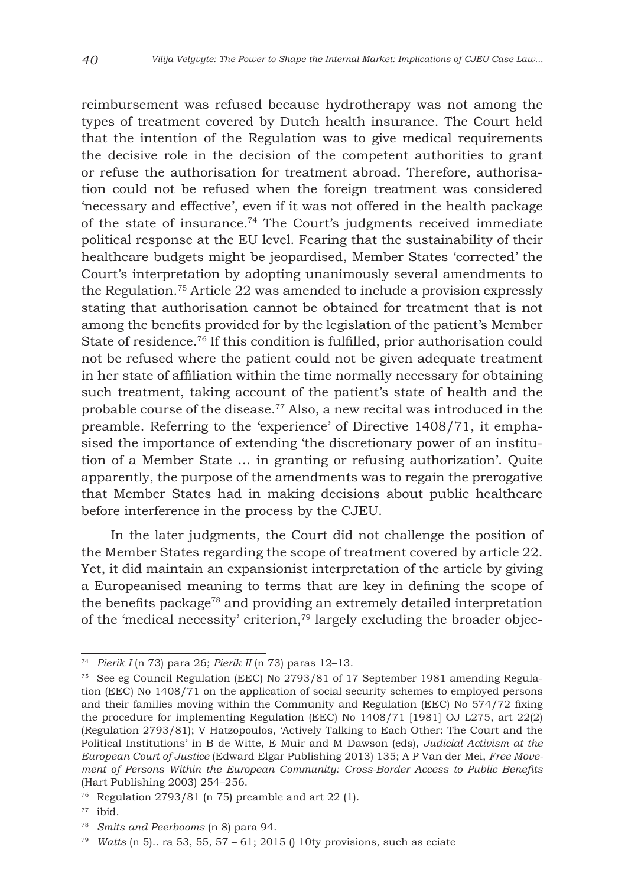reimbursement was refused because hydrotherapy was not among the types of treatment covered by Dutch health insurance. The Court held that the intention of the Regulation was to give medical requirements the decisive role in the decision of the competent authorities to grant or refuse the authorisation for treatment abroad. Therefore, authorisation could not be refused when the foreign treatment was considered 'necessary and effective', even if it was not offered in the health package of the state of insurance.74 The Court's judgments received immediate political response at the EU level. Fearing that the sustainability of their healthcare budgets might be jeopardised, Member States 'corrected' the Court's interpretation by adopting unanimously several amendments to the Regulation.75 Article 22 was amended to include a provision expressly stating that authorisation cannot be obtained for treatment that is not among the benefits provided for by the legislation of the patient's Member State of residence.<sup>76</sup> If this condition is fulfilled, prior authorisation could not be refused where the patient could not be given adequate treatment in her state of affiliation within the time normally necessary for obtaining such treatment, taking account of the patient's state of health and the probable course of the disease.<sup>77</sup> Also, a new recital was introduced in the preamble. Referring to the 'experience' of Directive 1408/71, it emphasised the importance of extending 'the discretionary power of an institution of a Member State … in granting or refusing authorization'. Quite apparently, the purpose of the amendments was to regain the prerogative that Member States had in making decisions about public healthcare before interference in the process by the CJEU.

In the later judgments, the Court did not challenge the position of the Member States regarding the scope of treatment covered by article 22. Yet, it did maintain an expansionist interpretation of the article by giving a Europeanised meaning to terms that are key in defining the scope of the benefits package78 and providing an extremely detailed interpretation of the 'medical necessity' criterion,79 largely excluding the broader objec-

<sup>74</sup> *Pierik I* (n 73) para 26; *Pierik II* (n 73) paras 12–13.

<sup>75</sup> See eg Council Regulation (EEC) No 2793/81 of 17 September 1981 amending Regulation (EEC) No 1408/71 on the application of social security schemes to employed persons and their families moving within the Community and Regulation (EEC) No 574/72 fixing the procedure for implementing Regulation (EEC) No 1408/71 [1981] OJ L275, art 22(2) (Regulation 2793/81); V Hatzopoulos, 'Actively Talking to Each Other: The Court and the Political Institutions' in B de Witte, E Muir and M Dawson (eds), *Judicial Activism at the European Court of Justice* (Edward Elgar Publishing 2013) 135; A P Van der Mei, *Free Movement of Persons Within the European Community: Cross-Border Access to Public Benefits*  (Hart Publishing 2003) 254–256.

<sup>76</sup> Regulation 2793/81 (n 75) preamble and art 22 (1).

<sup>77</sup> ibid.

<sup>78</sup> *Smits and Peerbooms* (n 8) para 94.

<sup>79</sup> *Watts* (n 5).. ra 53, 55, 57 – 61; 2015 () 10ty provisions, such as eciate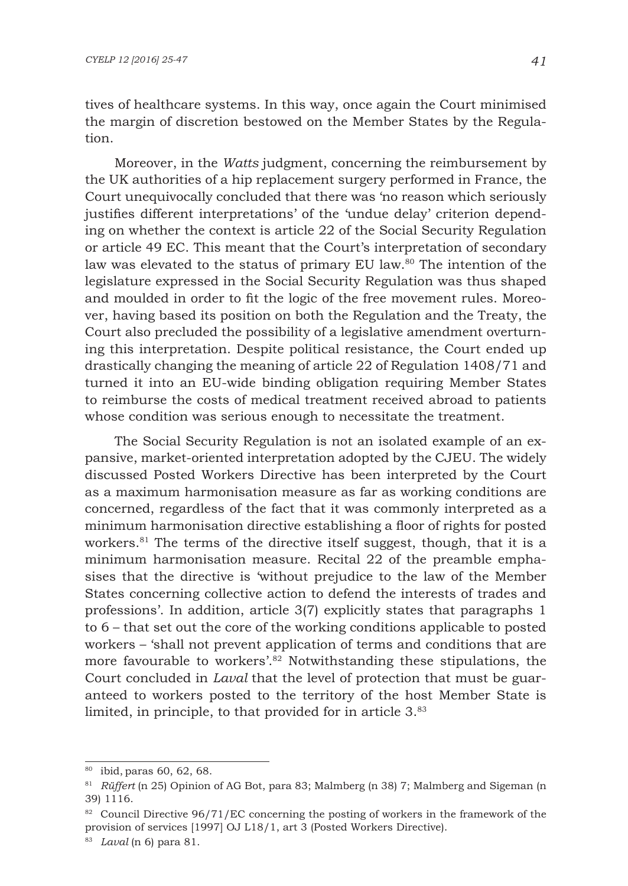tives of healthcare systems. In this way, once again the Court minimised the margin of discretion bestowed on the Member States by the Regulation.

Moreover, in the *Watts* judgment, concerning the reimbursement by the UK authorities of a hip replacement surgery performed in France, the Court unequivocally concluded that there was 'no reason which seriously justifies different interpretations' of the 'undue delay' criterion depending on whether the context is article 22 of the Social Security Regulation or article 49 EC. This meant that the Court's interpretation of secondary law was elevated to the status of primary EU law.<sup>80</sup> The intention of the legislature expressed in the Social Security Regulation was thus shaped and moulded in order to fit the logic of the free movement rules. Moreover, having based its position on both the Regulation and the Treaty, the Court also precluded the possibility of a legislative amendment overturning this interpretation. Despite political resistance, the Court ended up drastically changing the meaning of article 22 of Regulation 1408/71 and turned it into an EU-wide binding obligation requiring Member States to reimburse the costs of medical treatment received abroad to patients whose condition was serious enough to necessitate the treatment.

The Social Security Regulation is not an isolated example of an expansive, market-oriented interpretation adopted by the CJEU. The widely discussed Posted Workers Directive has been interpreted by the Court as a maximum harmonisation measure as far as working conditions are concerned, regardless of the fact that it was commonly interpreted as a minimum harmonisation directive establishing a floor of rights for posted workers.<sup>81</sup> The terms of the directive itself suggest, though, that it is a minimum harmonisation measure. Recital 22 of the preamble emphasises that the directive is 'without prejudice to the law of the Member States concerning collective action to defend the interests of trades and professions'. In addition, article 3(7) explicitly states that paragraphs 1 to 6 – that set out the core of the working conditions applicable to posted workers – 'shall not prevent application of terms and conditions that are more favourable to workers'.82 Notwithstanding these stipulations, the Court concluded in *Laval* that the level of protection that must be guaranteed to workers posted to the territory of the host Member State is limited, in principle, to that provided for in article 3.83

<sup>80</sup> ibid, paras 60, 62, 68.

<sup>81</sup> *Rüffert* (n 25) Opinion of AG Bot, para 83; Malmberg (n 38) 7; Malmberg and Sigeman (n 39) 1116.

<sup>&</sup>lt;sup>82</sup> Council Directive  $96/71/EC$  concerning the posting of workers in the framework of the provision of services [1997] OJ L18/1, art 3 (Posted Workers Directive).

<sup>83</sup> *Laval* (n 6) para 81.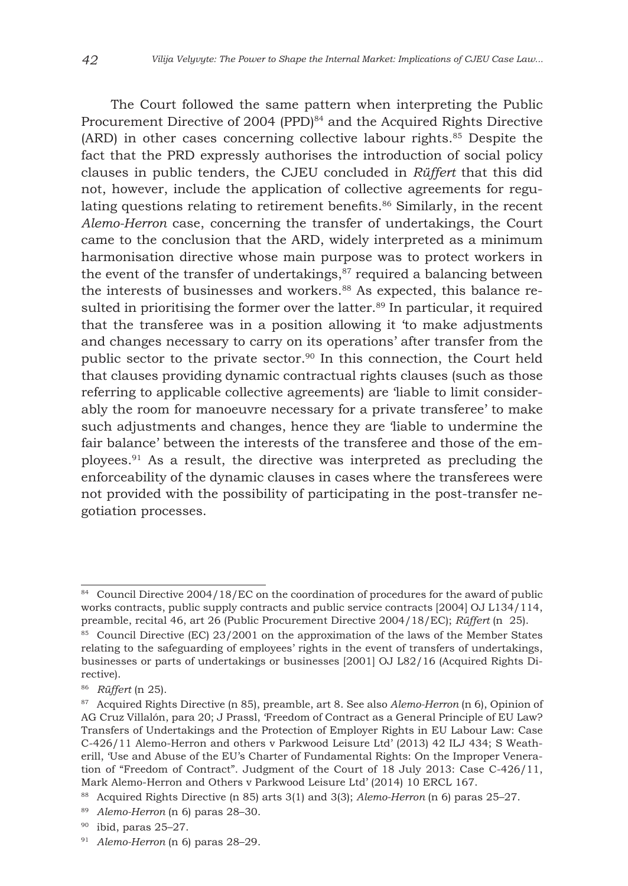The Court followed the same pattern when interpreting the Public Procurement Directive of 2004 (PPD)<sup>84</sup> and the Acquired Rights Directive (ARD) in other cases concerning collective labour rights.<sup>85</sup> Despite the fact that the PRD expressly authorises the introduction of social policy clauses in public tenders, the CJEU concluded in *Rüffert* that this did not, however, include the application of collective agreements for regulating questions relating to retirement benefits.<sup>86</sup> Similarly, in the recent *Alemo-Herron* case, concerning the transfer of undertakings, the Court came to the conclusion that the ARD, widely interpreted as a minimum harmonisation directive whose main purpose was to protect workers in the event of the transfer of undertakings, $87$  required a balancing between the interests of businesses and workers.<sup>88</sup> As expected, this balance resulted in prioritising the former over the latter.<sup>89</sup> In particular, it required that the transferee was in a position allowing it 'to make adjustments and changes necessary to carry on its operations' after transfer from the public sector to the private sector.90 In this connection, the Court held that clauses providing dynamic contractual rights clauses (such as those referring to applicable collective agreements) are 'liable to limit considerably the room for manoeuvre necessary for a private transferee' to make such adjustments and changes, hence they are 'liable to undermine the fair balance' between the interests of the transferee and those of the employees.91 As a result, the directive was interpreted as precluding the enforceability of the dynamic clauses in cases where the transferees were not provided with the possibility of participating in the post-transfer negotiation processes.

<sup>84</sup> Council Directive 2004/18/EC on the coordination of procedures for the award of public works contracts, public supply contracts and public service contracts [2004] OJ L134/114, preamble, recital 46, art 26 (Public Procurement Directive 2004/18/EC); *Rüffert* (n 25).

<sup>&</sup>lt;sup>85</sup> Council Directive (EC) 23/2001 on the approximation of the laws of the Member States relating to the safeguarding of employees' rights in the event of transfers of undertakings, businesses or parts of undertakings or businesses [2001] OJ L82/16 (Acquired Rights Directive).

<sup>86</sup> *Rüffert* (n 25).

<sup>87</sup> Acquired Rights Directive (n 85), preamble, art 8. See also *Alemo-Herron* (n 6), Opinion of AG Cruz Villalón, para 20; J Prassl, 'Freedom of Contract as a General Principle of EU Law? Transfers of Undertakings and the Protection of Employer Rights in EU Labour Law: Case C-426/11 Alemo-Herron and others v Parkwood Leisure Ltd' (2013) 42 ILJ 434; S Weatherill, 'Use and Abuse of the EU's Charter of Fundamental Rights: On the Improper Veneration of "Freedom of Contract". Judgment of the Court of 18 July 2013: Case C-426/11, Mark Alemo-Herron and Others v Parkwood Leisure Ltd' (2014) 10 ERCL 167.

<sup>88</sup> Acquired Rights Directive (n 85) arts 3(1) and 3(3); *Alemo-Herron* (n 6) paras 25–27.

<sup>89</sup> *Alemo-Herron* (n 6) paras 28–30.

 $90$  ibid, paras 25-27.

<sup>91</sup> *Alemo-Herron* (n 6) paras 28–29.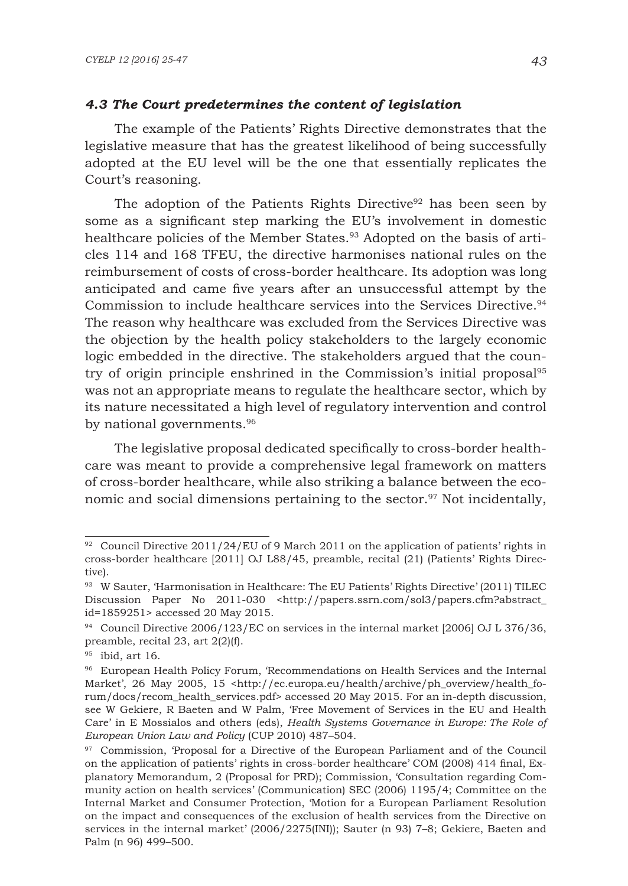#### *4.3 The Court predetermines the content of legislation*

The example of the Patients' Rights Directive demonstrates that the legislative measure that has the greatest likelihood of being successfully adopted at the EU level will be the one that essentially replicates the Court's reasoning.

The adoption of the Patients Rights Directive<sup>92</sup> has been seen by some as a significant step marking the EU's involvement in domestic healthcare policies of the Member States.<sup>93</sup> Adopted on the basis of articles 114 and 168 TFEU, the directive harmonises national rules on the reimbursement of costs of cross-border healthcare. Its adoption was long anticipated and came five years after an unsuccessful attempt by the Commission to include healthcare services into the Services Directive.<sup>94</sup> The reason why healthcare was excluded from the Services Directive was the objection by the health policy stakeholders to the largely economic logic embedded in the directive. The stakeholders argued that the country of origin principle enshrined in the Commission's initial proposal95 was not an appropriate means to regulate the healthcare sector, which by its nature necessitated a high level of regulatory intervention and control by national governments.<sup>96</sup>

The legislative proposal dedicated specifically to cross-border healthcare was meant to provide a comprehensive legal framework on matters of cross-border healthcare, while also striking a balance between the economic and social dimensions pertaining to the sector.<sup>97</sup> Not incidentally,

<sup>&</sup>lt;sup>92</sup> Council Directive 2011/24/EU of 9 March 2011 on the application of patients' rights in cross-border healthcare [2011] OJ L88/45, preamble, recital (21) (Patients' Rights Directive).

<sup>93</sup> W Sauter, 'Harmonisation in Healthcare: The EU Patients' Rights Directive' (2011) TILEC Discussion Paper No 2011-030 <http://papers.ssrn.com/sol3/papers.cfm?abstract\_ id=1859251> accessed 20 May 2015.

<sup>94</sup> Council Directive 2006/123/EC on services in the internal market [2006] OJ L 376/36, preamble, recital 23, art 2(2)(f).

 $95$  ibid, art 16.

<sup>96</sup> European Health Policy Forum, 'Recommendations on Health Services and the Internal Market', 26 May 2005, 15 <http://ec.europa.eu/health/archive/ph\_overview/health\_forum/docs/recom\_health\_services.pdf> accessed 20 May 2015. For an in-depth discussion, see W Gekiere, R Baeten and W Palm, 'Free Movement of Services in the EU and Health Care' in E Mossialos and others (eds), *Health Systems Governance in Europe: The Role of European Union Law and Policy* (CUP 2010) 487–504.

<sup>&</sup>lt;sup>97</sup> Commission, 'Proposal for a Directive of the European Parliament and of the Council on the application of patients' rights in cross-border healthcare' COM (2008) 414 final, Explanatory Memorandum, 2 (Proposal for PRD); Commission, 'Consultation regarding Community action on health services' (Communication) SEC (2006) 1195/4; Committee on the Internal Market and Consumer Protection, 'Motion for a European Parliament Resolution on the impact and consequences of the exclusion of health services from the Directive on services in the internal market' (2006/2275(INI)); Sauter (n 93) 7–8; Gekiere, Baeten and Palm (n 96) 499–500.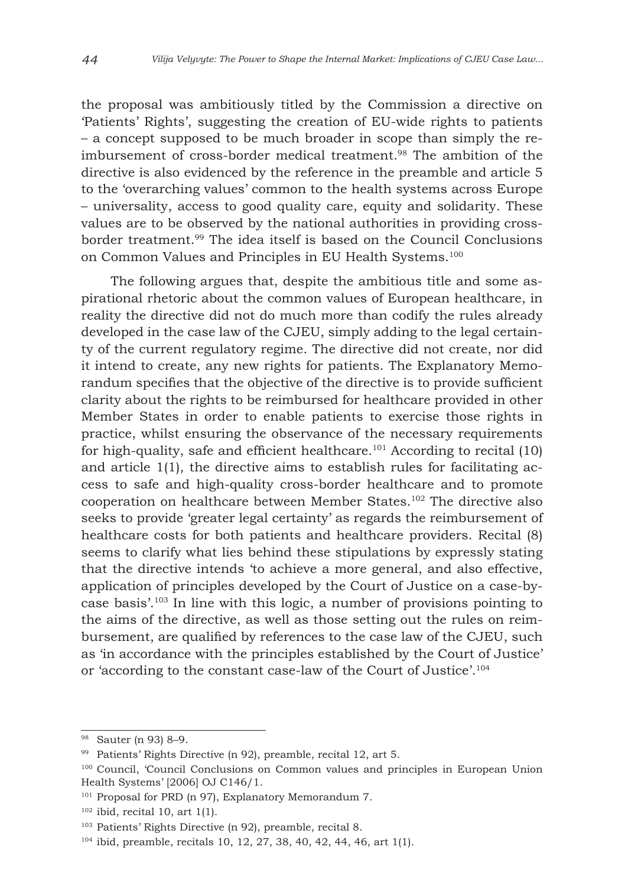the proposal was ambitiously titled by the Commission a directive on 'Patients' Rights', suggesting the creation of EU-wide rights to patients – a concept supposed to be much broader in scope than simply the reimbursement of cross-border medical treatment.98 The ambition of the directive is also evidenced by the reference in the preamble and article 5 to the 'overarching values' common to the health systems across Europe – universality, access to good quality care, equity and solidarity. These values are to be observed by the national authorities in providing crossborder treatment.<sup>99</sup> The idea itself is based on the Council Conclusions on Common Values and Principles in EU Health Systems.<sup>100</sup>

The following argues that, despite the ambitious title and some aspirational rhetoric about the common values of European healthcare, in reality the directive did not do much more than codify the rules already developed in the case law of the CJEU, simply adding to the legal certainty of the current regulatory regime. The directive did not create, nor did it intend to create, any new rights for patients. The Explanatory Memorandum specifies that the objective of the directive is to provide sufficient clarity about the rights to be reimbursed for healthcare provided in other Member States in order to enable patients to exercise those rights in practice, whilst ensuring the observance of the necessary requirements for high-quality, safe and efficient healthcare.<sup>101</sup> According to recital  $(10)$ and article 1(1), the directive aims to establish rules for facilitating access to safe and high-quality cross-border healthcare and to promote cooperation on healthcare between Member States.102 The directive also seeks to provide 'greater legal certainty' as regards the reimbursement of healthcare costs for both patients and healthcare providers. Recital (8) seems to clarify what lies behind these stipulations by expressly stating that the directive intends 'to achieve a more general, and also effective, application of principles developed by the Court of Justice on a case-bycase basis'.103 In line with this logic, a number of provisions pointing to the aims of the directive, as well as those setting out the rules on reimbursement, are qualified by references to the case law of the CJEU, such as 'in accordance with the principles established by the Court of Justice' or 'according to the constant case-law of the Court of Justice'.104

<sup>98</sup> Sauter (n 93) 8–9.

<sup>99</sup> Patients' Rights Directive (n 92), preamble, recital 12, art 5.

<sup>100</sup> Council, 'Council Conclusions on Common values and principles in European Union Health Systems' [2006] OJ C146/1.

<sup>&</sup>lt;sup>101</sup> Proposal for PRD (n 97), Explanatory Memorandum 7.

 $102$  ibid, recital 10, art 1(1).

<sup>103</sup> Patients' Rights Directive (n 92), preamble, recital 8.

<sup>104</sup> ibid, preamble, recitals 10, 12, 27, 38, 40, 42, 44, 46, art 1(1).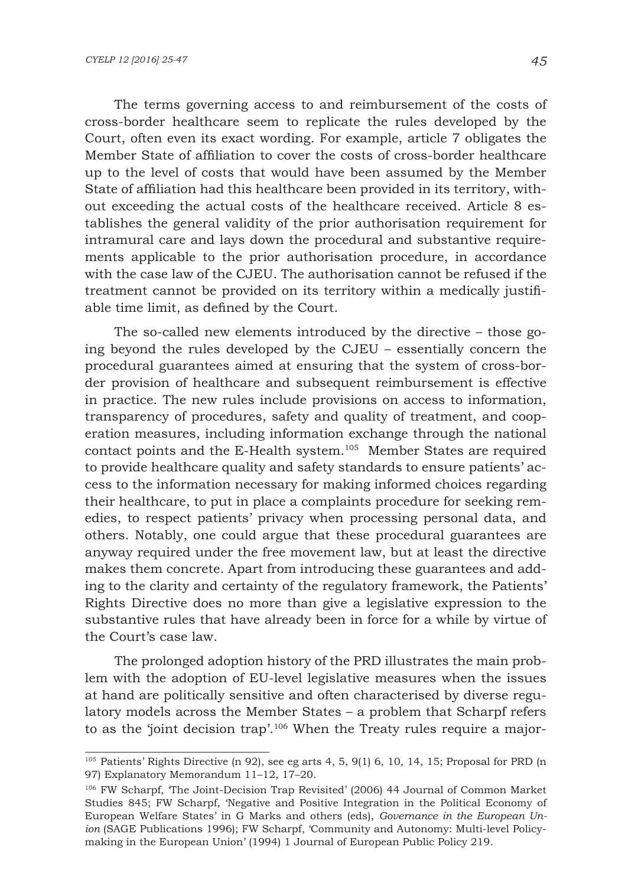The terms governing access to and reimbursement of the costs of cross-border healthcare seem to replicate the rules developed by the Court, often even its exact wording. For example, article 7 obligates the Member State of affiliation to cover the costs of cross-border healthcare up to the level of costs that would have been assumed by the Member State of affiliation had this healthcare been provided in its territory, without exceeding the actual costs of the healthcare received. Article 8 establishes the general validity of the prior authorisation requirement for intramural care and lays down the procedural and substantive requirements applicable to the prior authorisation procedure, in accordance with the case law of the CJEU. The authorisation cannot be refused if the treatment cannot be provided on its territory within a medically justifiable time limit, as defined by the Court.

The so-called new elements introduced by the directive – those going beyond the rules developed by the CJEU – essentially concern the procedural guarantees aimed at ensuring that the system of cross-border provision of healthcare and subsequent reimbursement is effective in practice. The new rules include provisions on access to information, transparency of procedures, safety and quality of treatment, and cooperation measures, including information exchange through the national contact points and the E-Health system.105 Member States are required to provide healthcare quality and safety standards to ensure patients' access to the information necessary for making informed choices regarding their healthcare, to put in place a complaints procedure for seeking remedies, to respect patients' privacy when processing personal data, and others. Notably, one could argue that these procedural guarantees are anyway required under the free movement law, but at least the directive makes them concrete. Apart from introducing these guarantees and adding to the clarity and certainty of the regulatory framework, the Patients' Rights Directive does no more than give a legislative expression to the substantive rules that have already been in force for a while by virtue of the Court's case law.

The prolonged adoption history of the PRD illustrates the main problem with the adoption of EU-level legislative measures when the issues at hand are politically sensitive and often characterised by diverse regulatory models across the Member States – a problem that Scharpf refers to as the 'joint decision trap'.106 When the Treaty rules require a major-

 $105$  Patients' Rights Directive (n 92), see eg arts 4, 5, 9(1) 6, 10, 14, 15; Proposal for PRD (n 97) Explanatory Memorandum 11–12, 17–20.

<sup>106</sup> FW Scharpf, 'The Joint-Decision Trap Revisited' (2006) 44 Journal of Common Market Studies 845; FW Scharpf, 'Negative and Positive Integration in the Political Economy of European Welfare States' in G Marks and others (eds), *Governance in the European Union* (SAGE Publications 1996); FW Scharpf, 'Community and Autonomy: Multi-level Policymaking in the European Union' (1994) 1 Journal of European Public Policy 219.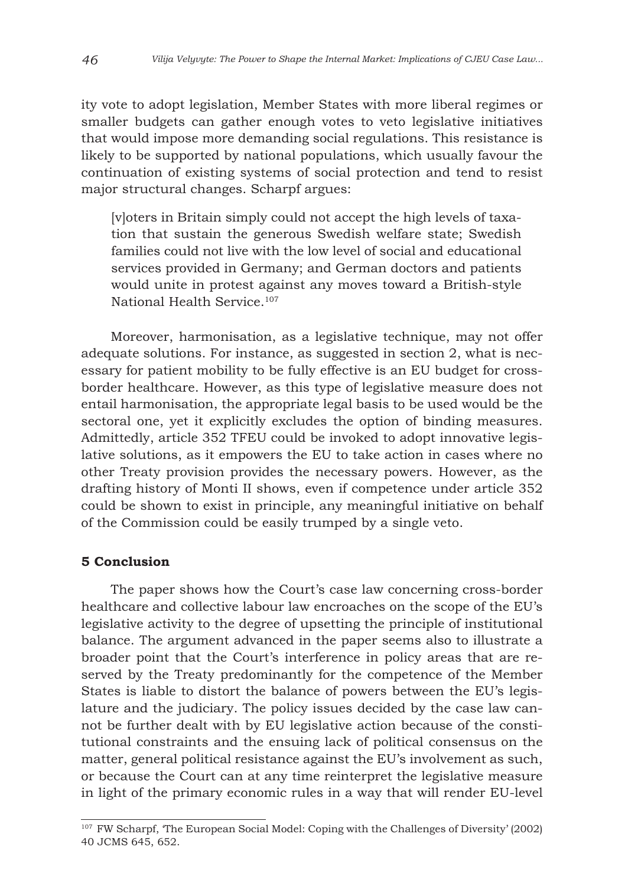ity vote to adopt legislation, Member States with more liberal regimes or smaller budgets can gather enough votes to veto legislative initiatives that would impose more demanding social regulations. This resistance is likely to be supported by national populations, which usually favour the continuation of existing systems of social protection and tend to resist major structural changes. Scharpf argues:

[v]oters in Britain simply could not accept the high levels of taxation that sustain the generous Swedish welfare state; Swedish families could not live with the low level of social and educational services provided in Germany; and German doctors and patients would unite in protest against any moves toward a British-style National Health Service.107

Moreover, harmonisation, as a legislative technique, may not offer adequate solutions. For instance, as suggested in section 2, what is necessary for patient mobility to be fully effective is an EU budget for crossborder healthcare. However, as this type of legislative measure does not entail harmonisation, the appropriate legal basis to be used would be the sectoral one, yet it explicitly excludes the option of binding measures. Admittedly, article 352 TFEU could be invoked to adopt innovative legislative solutions, as it empowers the EU to take action in cases where no other Treaty provision provides the necessary powers. However, as the drafting history of Monti II shows, even if competence under article 352 could be shown to exist in principle, any meaningful initiative on behalf of the Commission could be easily trumped by a single veto.

## **5 Conclusion**

The paper shows how the Court's case law concerning cross-border healthcare and collective labour law encroaches on the scope of the EU's legislative activity to the degree of upsetting the principle of institutional balance. The argument advanced in the paper seems also to illustrate a broader point that the Court's interference in policy areas that are reserved by the Treaty predominantly for the competence of the Member States is liable to distort the balance of powers between the EU's legislature and the judiciary. The policy issues decided by the case law cannot be further dealt with by EU legislative action because of the constitutional constraints and the ensuing lack of political consensus on the matter, general political resistance against the EU's involvement as such, or because the Court can at any time reinterpret the legislative measure in light of the primary economic rules in a way that will render EU-level

<sup>107</sup> FW Scharpf, 'The European Social Model: Coping with the Challenges of Diversity' (2002) 40 JCMS 645, 652.